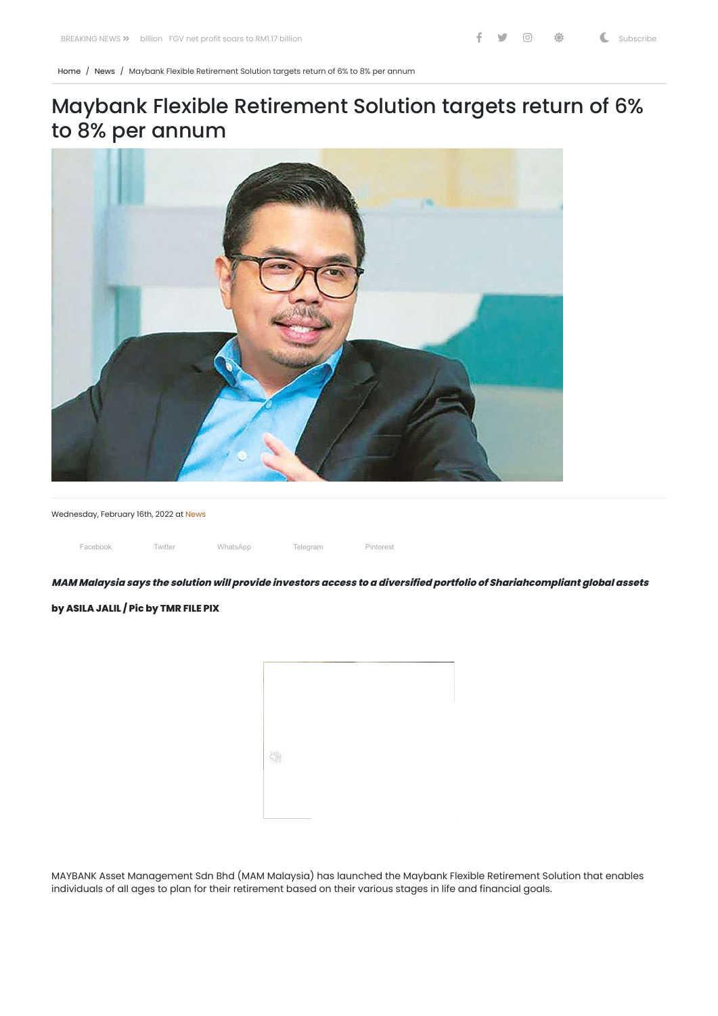[Home](https://themalaysianreserve.com/) / [News](https://themalaysianreserve.com/category/news/) / Maybank Flexible Retirement Solution targets return of 6% to 8% per annum

## Maybank Flexible Retirement Solution targets return of 6% to 8% per annum



Wednesday, February 16th, 2022 at [News](https://themalaysianreserve.com/category/news/)

Facebook Twitter WhatsApp Telegram Pinterest

MAM Malaysia says the solution will provide investors access to a diversified portfolio of Shariahcompliant global assets

**by ASILA JALIL / Pic by TMR FILE PIX**



MAYBANK Asset Management Sdn Bhd (MAM Malaysia) has launched the Maybank Flexible Retirement Solution that enables individuals of all ages to plan for their retirement based on their various stages in life and financial goals.